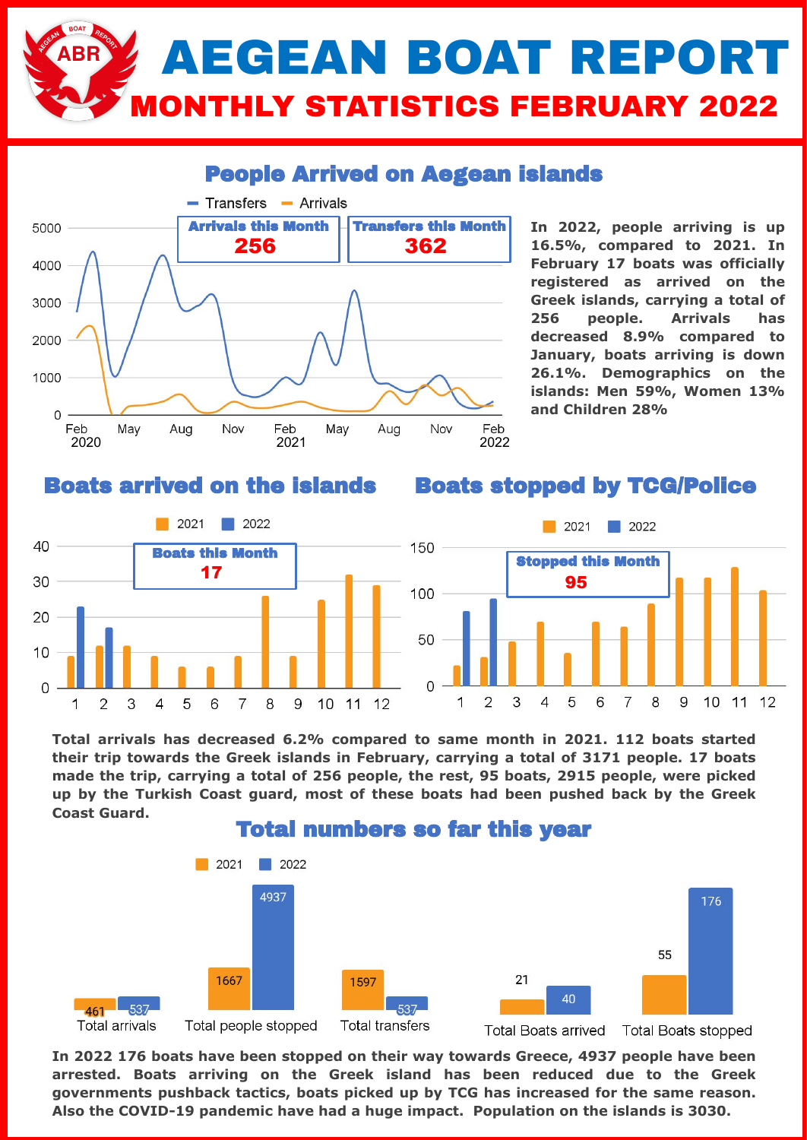# AEGEAN BOAT REPORT **NTHLY STATISTICS FEBRUARY 2022**

### People Arrived on Aegean islands



**In 2022, people arriving is up 16.5%, compared to 2021. In February 17 boats was officially registered as arrived on the Greek islands, carrying a total of 256 people. Arrivals has decreased 8.9% compared to January, boats arriving is down 26.1%. Demographics on the islands: Men 59%, Women 13% and Children 28%**

#### Boats arrived on the islands

#### Boats stopped by TCG/Police



**Total arrivals has decreased 6.2% compared to same month in 2021. 112 boats started their trip towards the Greek islands in February, carrying a total of 3171 people. 17 boats made the trip, carrying a total of 256 people, the rest, 95 boats, 2915 people, were picked up by the Turkish Coast guard, most of these boats had been pushed back by the Greek Coast Guard.** 



**In 2022 176 boats have been stopped on their way towards Greece, 4937 people have been arrested. Boats arriving on the Greek island has been reduced due to the Greek governments pushback tactics, boats picked up by TCG has increased for the same reason. Also the COVID-19 pandemic have had a huge impact. Population on the islands is 3030.**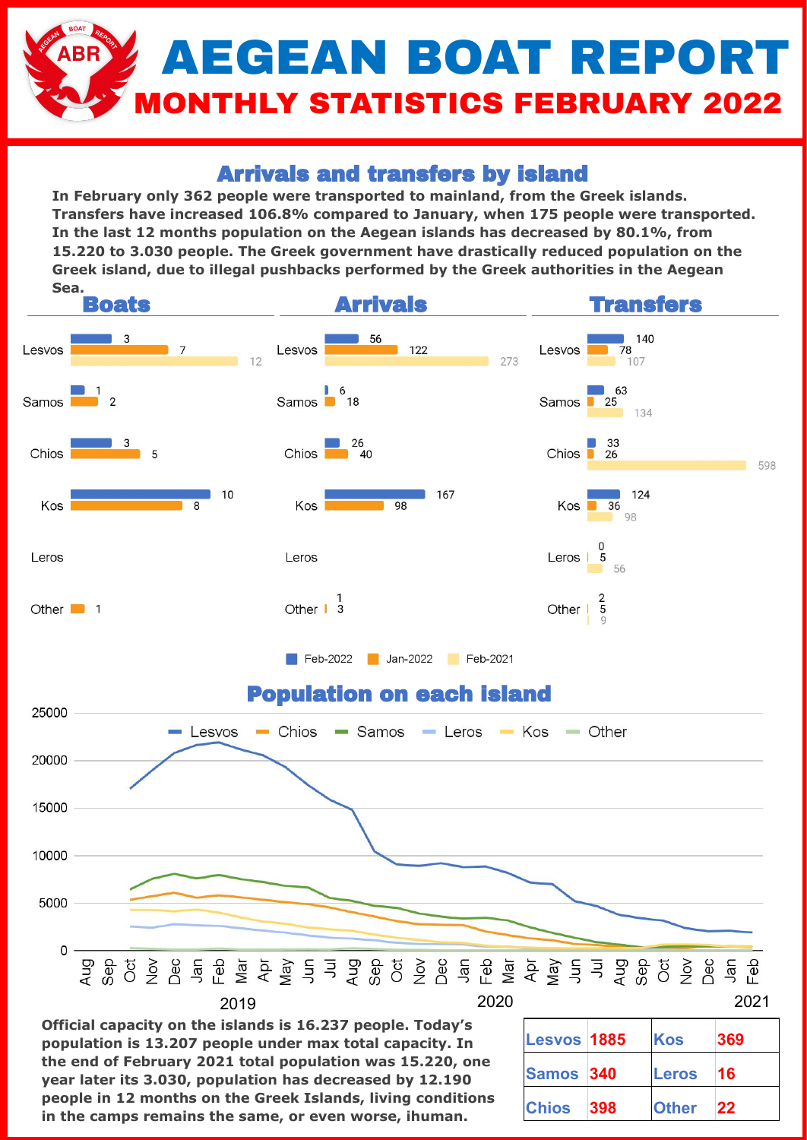# AEGEAN BOAT REPORT **ONTHLY STATISTICS FEBRUARY 2022**

### Arrivals and transfers by island

**In February only 362 people were transported to mainland, from the Greek islands. Transfers have increased 106.8% compared to January, when 175 people were transported. In the last 12 months population on the Aegean islands has decreased by 80.1%, from 15.220 to 3.030 people. The Greek government have drastically reduced population on the Greek island, due to illegal pushbacks performed by the Greek authorities in the Aegean Sea.** 



**Official capacity on the islands is 16.237 people. Today's population is 13.207 people under max total capacity. In the end of February 2021 total population was 15.220, one year later its 3.030, population has decreased by 12.190 people in 12 months on the Greek Islands, living conditions in the camps remains the same, or even worse, ihuman.**

| Lesvos 1885      |      | Kos          | 369       |
|------------------|------|--------------|-----------|
| <b>Samos 340</b> |      | <b>Leros</b> | 16        |
| <b>Chios</b>     | 1398 | <b>Other</b> | <b>22</b> |